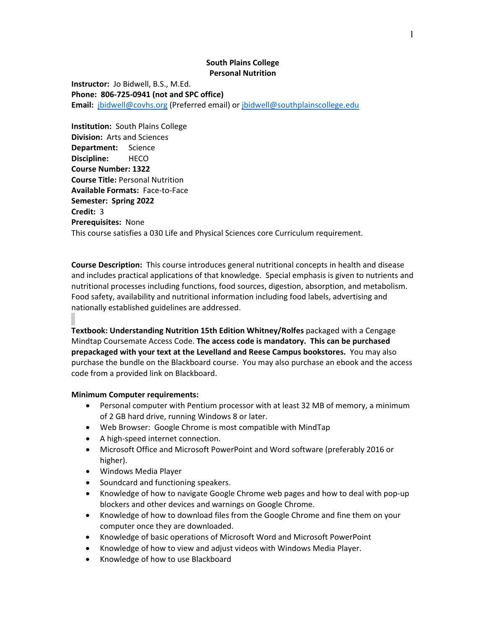## **South Plains College Personal Nutrition**

**Instructor:** Jo Bidwell, B.S., M.Ed. **Phone: 806-725-0941 (not and SPC office) Email:** [jbidwell@covhs.org](mailto:jbidwell@covhs.org) (Preferred email) or [jbidwell@southplainscollege.edu](mailto:jbidwell@southplainscollege.edu)

**Institution:** South Plains College **Division:** Arts and Sciences **Department:** Science **Discipline:** HECO **Course Number: 1322 Course Title:** Personal Nutrition **Available Formats:** Face-to-Face **Semester: Spring 2022 Credit:** 3 **Prerequisites:** None This course satisfies a 030 Life and Physical Sciences core Curriculum requirement.

**Course Description:** This course introduces general nutritional concepts in health and disease and includes practical applications of that knowledge. Special emphasis is given to nutrients and nutritional processes including functions, food sources, digestion, absorption, and metabolism. Food safety, availability and nutritional information including food labels, advertising and nationally established guidelines are addressed.

**Textbook: Understanding Nutrition 15th Edition Whitney/Rolfes** packaged with a Cengage Mindtap Coursemate Access Code. **The access code is mandatory. This can be purchased prepackaged with your text at the Levelland and Reese Campus bookstores.** You may also purchase the bundle on the Blackboard course. You may also purchase an ebook and the access code from a provided link on Blackboard.

# **Minimum Computer requirements:**

- Personal computer with Pentium processor with at least 32 MB of memory, a minimum of 2 GB hard drive, running Windows 8 or later.
- Web Browser: Google Chrome is most compatible with MindTap
- A high-speed internet connection.
- Microsoft Office and Microsoft PowerPoint and Word software (preferably 2016 or higher).
- Windows Media Player
- Soundcard and functioning speakers.
- Knowledge of how to navigate Google Chrome web pages and how to deal with pop-up blockers and other devices and warnings on Google Chrome.
- Knowledge of how to download files from the Google Chrome and fine them on your computer once they are downloaded.
- Knowledge of basic operations of Microsoft Word and Microsoft PowerPoint
- Knowledge of how to view and adjust videos with Windows Media Player.
- Knowledge of how to use Blackboard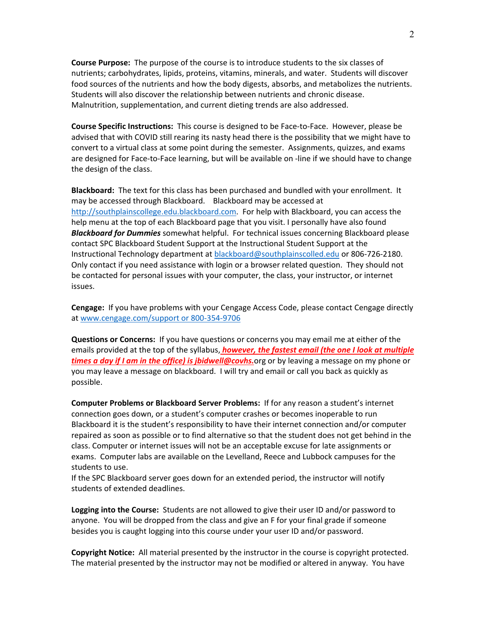**Course Purpose:** The purpose of the course is to introduce students to the six classes of nutrients; carbohydrates, lipids, proteins, vitamins, minerals, and water. Students will discover food sources of the nutrients and how the body digests, absorbs, and metabolizes the nutrients. Students will also discover the relationship between nutrients and chronic disease. Malnutrition, supplementation, and current dieting trends are also addressed.

**Course Specific Instructions:** This course is designed to be Face-to-Face. However, please be advised that with COVID still rearing its nasty head there is the possibility that we might have to convert to a virtual class at some point during the semester. Assignments, quizzes, and exams are designed for Face-to-Face learning, but will be available on -line if we should have to change the design of the class.

**Blackboard:** The text for this class has been purchased and bundled with your enrollment. It may be accessed through Blackboard. Blackboard may be accessed at [http://southplainscollege.edu.blackboard.com.](http://southplainscollege.edu.blackboard.com/) For help with Blackboard, you can access the help menu at the top of each Blackboard page that you visit. I personally have also found *Blackboard for Dummies* somewhat helpful. For technical issues concerning Blackboard please contact SPC Blackboard Student Support at the Instructional Student Support at the Instructional Technology department at [blackboard@southplainscolled.edu](mailto:blackboard@southplainscolled.edu) or 806-726-2180. Only contact if you need assistance with login or a browser related question. They should not be contacted for personal issues with your computer, the class, your instructor, or internet issues.

**Cengage:** If you have problems with your Cengage Access Code, please contact Cengage directly at [www.cengage.com/support or 800-354-9706](http://www.cengage.com/support%20or%20800-354-9706)

**Questions or Concerns:** If you have questions or concerns you may email me at either of the emails provided at the top of the syllabus, *however, the fastest email (the one I look at multiple times a day if I am in the office) is jbidwell@covhs.*org or by leaving a message on my phone or you may leave a message on blackboard. I will try and email or call you back as quickly as possible.

**Computer Problems or Blackboard Server Problems:** If for any reason a student's internet connection goes down, or a student's computer crashes or becomes inoperable to run Blackboard it is the student's responsibility to have their internet connection and/or computer repaired as soon as possible or to find alternative so that the student does not get behind in the class. Computer or internet issues will not be an acceptable excuse for late assignments or exams. Computer labs are available on the Levelland, Reece and Lubbock campuses for the students to use.

If the SPC Blackboard server goes down for an extended period, the instructor will notify students of extended deadlines.

**Logging into the Course:** Students are not allowed to give their user ID and/or password to anyone. You will be dropped from the class and give an F for your final grade if someone besides you is caught logging into this course under your user ID and/or password.

**Copyright Notice:** All material presented by the instructor in the course is copyright protected. The material presented by the instructor may not be modified or altered in anyway. You have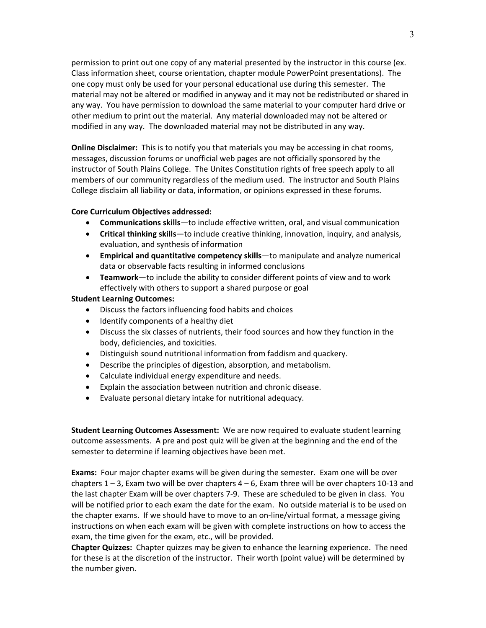permission to print out one copy of any material presented by the instructor in this course (ex. Class information sheet, course orientation, chapter module PowerPoint presentations). The one copy must only be used for your personal educational use during this semester. The material may not be altered or modified in anyway and it may not be redistributed or shared in any way. You have permission to download the same material to your computer hard drive or other medium to print out the material. Any material downloaded may not be altered or modified in any way. The downloaded material may not be distributed in any way.

**Online Disclaimer:** This is to notify you that materials you may be accessing in chat rooms, messages, discussion forums or unofficial web pages are not officially sponsored by the instructor of South Plains College. The Unites Constitution rights of free speech apply to all members of our community regardless of the medium used. The instructor and South Plains College disclaim all liability or data, information, or opinions expressed in these forums.

## **Core Curriculum Objectives addressed:**

- **Communications skills**—to include effective written, oral, and visual communication
- **Critical thinking skills**—to include creative thinking, innovation, inquiry, and analysis, evaluation, and synthesis of information
- **Empirical and quantitative competency skills**—to manipulate and analyze numerical data or observable facts resulting in informed conclusions
- **Teamwork**—to include the ability to consider different points of view and to work effectively with others to support a shared purpose or goal

## **Student Learning Outcomes:**

- Discuss the factors influencing food habits and choices
- Identify components of a healthy diet
- Discuss the six classes of nutrients, their food sources and how they function in the body, deficiencies, and toxicities.
- Distinguish sound nutritional information from faddism and quackery.
- Describe the principles of digestion, absorption, and metabolism.
- Calculate individual energy expenditure and needs.
- Explain the association between nutrition and chronic disease.
- Evaluate personal dietary intake for nutritional adequacy.

**Student Learning Outcomes Assessment:** We are now required to evaluate student learning outcome assessments. A pre and post quiz will be given at the beginning and the end of the semester to determine if learning objectives have been met.

**Exams:** Four major chapter exams will be given during the semester. Exam one will be over chapters  $1 - 3$ , Exam two will be over chapters  $4 - 6$ , Exam three will be over chapters 10-13 and the last chapter Exam will be over chapters 7-9. These are scheduled to be given in class. You will be notified prior to each exam the date for the exam. No outside material is to be used on the chapter exams. If we should have to move to an on-line/virtual format, a message giving instructions on when each exam will be given with complete instructions on how to access the exam, the time given for the exam, etc., will be provided.

**Chapter Quizzes:** Chapter quizzes may be given to enhance the learning experience. The need for these is at the discretion of the instructor. Their worth (point value) will be determined by the number given.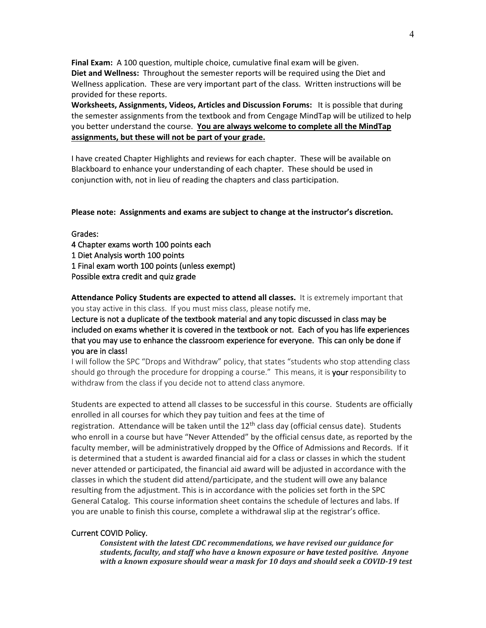**Final Exam:** A 100 question, multiple choice, cumulative final exam will be given. **Diet and Wellness:** Throughout the semester reports will be required using the Diet and Wellness application. These are very important part of the class. Written instructions will be provided for these reports.

**Worksheets, Assignments, Videos, Articles and Discussion Forums:** It is possible that during the semester assignments from the textbook and from Cengage MindTap will be utilized to help you better understand the course. **You are always welcome to complete all the MindTap assignments, but these will not be part of your grade.** 

I have created Chapter Highlights and reviews for each chapter. These will be available on Blackboard to enhance your understanding of each chapter. These should be used in conjunction with, not in lieu of reading the chapters and class participation.

**Please note: Assignments and exams are subject to change at the instructor's discretion.**

Grades:

4 Chapter exams worth 100 points each 1 Diet Analysis worth 100 points 1 Final exam worth 100 points (unless exempt) Possible extra credit and quiz grade

**Attendance Policy Students are expected to attend all classes.** It is extremely important that you stay active in this class. If you must miss class, please notify me.

Lecture is not a duplicate of the textbook material and any topic discussed in class may be included on exams whether it is covered in the textbook or not. Each of you has life experiences that you may use to enhance the classroom experience for everyone. This can only be done if you are in class!

I will follow the SPC "Drops and Withdraw" policy, that states "students who stop attending class should go through the procedure for dropping a course." This means, it is your responsibility to withdraw from the class if you decide not to attend class anymore.

Students are expected to attend all classes to be successful in this course. Students are officially enrolled in all courses for which they pay tuition and fees at the time of

registration. Attendance will be taken until the  $12<sup>th</sup>$  class day (official census date). Students who enroll in a course but have "Never Attended" by the official census date, as reported by the faculty member, will be administratively dropped by the Office of Admissions and Records. If it is determined that a student is awarded financial aid for a class or classes in which the student never attended or participated, the financial aid award will be adjusted in accordance with the classes in which the student did attend/participate, and the student will owe any balance resulting from the adjustment. This is in accordance with the policies set forth in the SPC General Catalog. This course information sheet contains the schedule of lectures and labs. If you are unable to finish this course, complete a withdrawal slip at the registrar's office.

#### Current COVID Policy.

*Consistent with the latest CDC recommendations, we have revised our guidance for students, faculty, and staff who have a known exposure or have tested positive. Anyone with a known exposure should wear a mask for 10 days and should seek a COVID-19 test*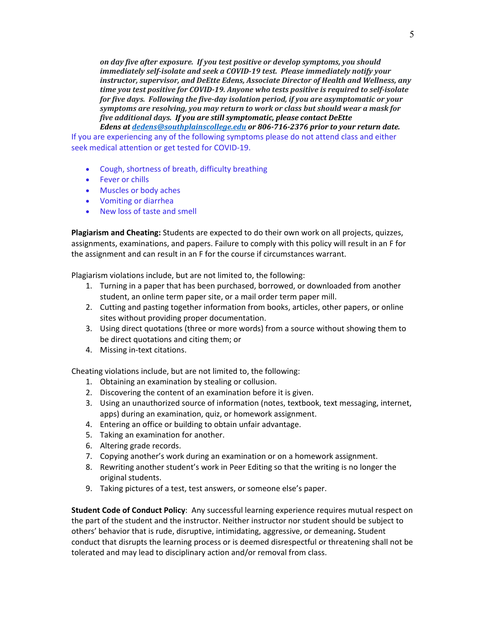*on day five after exposure. If you test positive or develop symptoms, you should immediately self-isolate and seek a COVID-19 test. Please immediately notify your instructor, supervisor, and DeEtte Edens, Associate Director of Health and Wellness, any time you test positive for COVID-19. Anyone who tests positive is required to self-isolate for five days. Following the five-day isolation period, if you are asymptomatic or your symptoms are resolving, you may return to work or class but should wear a mask for five additional days. If you are still symptomatic, please contact DeEtte*

*Edens at [dedens@southplainscollege.edu](mailto:dedens@southplainscollege.edu) or 806-716-2376 prior to your return date.* If you are experiencing any of the following symptoms please do not attend class and either seek medical attention or get tested for COVID-19.

- Cough, shortness of breath, difficulty breathing
- Fever or chills
- Muscles or body aches
- Vomiting or diarrhea
- New loss of taste and smell

**Plagiarism and Cheating:** Students are expected to do their own work on all projects, quizzes, assignments, examinations, and papers. Failure to comply with this policy will result in an F for the assignment and can result in an F for the course if circumstances warrant.

Plagiarism violations include, but are not limited to, the following:

- 1. Turning in a paper that has been purchased, borrowed, or downloaded from another student, an online term paper site, or a mail order term paper mill.
- 2. Cutting and pasting together information from books, articles, other papers, or online sites without providing proper documentation.
- 3. Using direct quotations (three or more words) from a source without showing them to be direct quotations and citing them; or
- 4. Missing in-text citations.

Cheating violations include, but are not limited to, the following:

- 1. Obtaining an examination by stealing or collusion.
- 2. Discovering the content of an examination before it is given.
- 3. Using an unauthorized source of information (notes, textbook, text messaging, internet, apps) during an examination, quiz, or homework assignment.
- 4. Entering an office or building to obtain unfair advantage.
- 5. Taking an examination for another.
- 6. Altering grade records.
- 7. Copying another's work during an examination or on a homework assignment.
- 8. Rewriting another student's work in Peer Editing so that the writing is no longer the original students.
- 9. Taking pictures of a test, test answers, or someone else's paper.

**Student Code of Conduct Policy**: Any successful learning experience requires mutual respect on the part of the student and the instructor. Neither instructor nor student should be subject to others' behavior that is rude, disruptive, intimidating, aggressive, or demeaning**.** Student conduct that disrupts the learning process or is deemed disrespectful or threatening shall not be tolerated and may lead to disciplinary action and/or removal from class.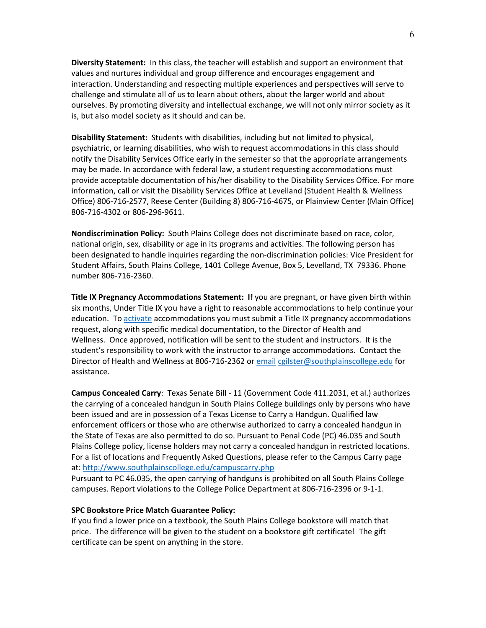**Diversity Statement:** In this class, the teacher will establish and support an environment that values and nurtures individual and group difference and encourages engagement and interaction. Understanding and respecting multiple experiences and perspectives will serve to challenge and stimulate all of us to learn about others, about the larger world and about ourselves. By promoting diversity and intellectual exchange, we will not only mirror society as it is, but also model society as it should and can be.

**Disability Statement:** Students with disabilities, including but not limited to physical, psychiatric, or learning disabilities, who wish to request accommodations in this class should notify the Disability Services Office early in the semester so that the appropriate arrangements may be made. In accordance with federal law, a student requesting accommodations must provide acceptable documentation of his/her disability to the Disability Services Office. For more information, call or visit the Disability Services Office at Levelland (Student Health & Wellness Office) 806-716-2577, Reese Center (Building 8) 806-716-4675, or Plainview Center (Main Office) 806-716-4302 or 806-296-9611.

**Nondiscrimination Policy:** South Plains College does not discriminate based on race, color, national origin, sex, disability or age in its programs and activities. The following person has been designated to handle inquiries regarding the non-discrimination policies: Vice President for Student Affairs, South Plains College, 1401 College Avenue, Box 5, Levelland, TX 79336. Phone number 806-716-2360.

**Title IX Pregnancy Accommodations Statement: I**f you are pregnant, or have given birth within six months, Under Title IX you have a right to reasonable accommodations to help continue your education. To [activate](http://www.southplainscollege.edu/employees/manualshandbooks/facultyhandbook/sec4.php) accommodations you must submit a Title IX pregnancy accommodations request, along with specific medical documentation, to the Director of Health and Wellness. Once approved, notification will be sent to the student and instructors. It is the student's responsibility to work with the instructor to arrange accommodations. Contact the Director of Health and Wellness at 806-716-2362 or [email](http://www.southplainscollege.edu/employees/manualshandbooks/facultyhandbook/sec4.php) [cgilster@southplainscollege.edu](mailto:cgilster@southplainscollege.edu) for assistance.

**Campus Concealed Carry**: Texas Senate Bill - 11 (Government Code 411.2031, et al.) authorizes the carrying of a concealed handgun in South Plains College buildings only by persons who have been issued and are in possession of a Texas License to Carry a Handgun. Qualified law enforcement officers or those who are otherwise authorized to carry a concealed handgun in the State of Texas are also permitted to do so. Pursuant to Penal Code (PC) 46.035 and South Plains College policy, license holders may not carry a concealed handgun in restricted locations. For a list of locations and Frequently Asked Questions, please refer to the Campus Carry page at: <http://www.southplainscollege.edu/campuscarry.php>

Pursuant to PC 46.035, the open carrying of handguns is prohibited on all South Plains College campuses. Report violations to the College Police Department at 806-716-2396 or 9-1-1.

#### **SPC Bookstore Price Match Guarantee Policy:**

If you find a lower price on a textbook, the South Plains College bookstore will match that price. The difference will be given to the student on a bookstore gift certificate! The gift certificate can be spent on anything in the store.